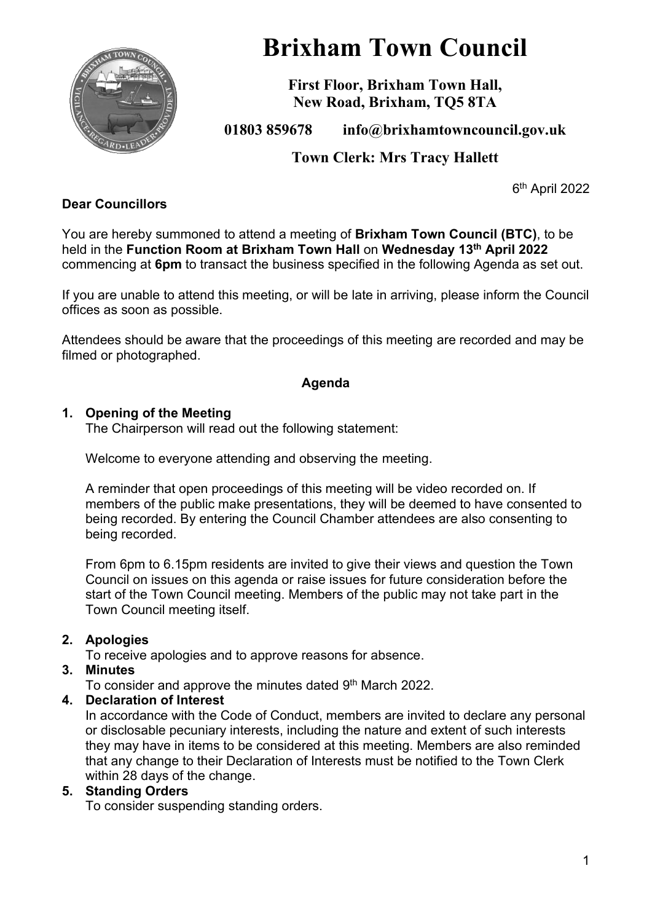

# **Brixham Town Council**

**First Floor, Brixham Town Hall, New Road, Brixham, TQ5 8TA**

**01803 859678 info@brixhamtowncouncil.gov.uk**

**Town Clerk: Mrs Tracy Hallett**

6 th April 2022

#### **Dear Councillors**

You are hereby summoned to attend a meeting of **Brixham Town Council (BTC)**, to be held in the **Function Room at Brixham Town Hall** on **Wednesday 13th April 2022** commencing at **6pm** to transact the business specified in the following Agenda as set out.

If you are unable to attend this meeting, or will be late in arriving, please inform the Council offices as soon as possible.

Attendees should be aware that the proceedings of this meeting are recorded and may be filmed or photographed.

#### **Agenda**

#### **1. Opening of the Meeting**

The Chairperson will read out the following statement:

Welcome to everyone attending and observing the meeting.

A reminder that open proceedings of this meeting will be video recorded on. If members of the public make presentations, they will be deemed to have consented to being recorded. By entering the Council Chamber attendees are also consenting to being recorded.

From 6pm to 6.15pm residents are invited to give their views and question the Town Council on issues on this agenda or raise issues for future consideration before the start of the Town Council meeting. Members of the public may not take part in the Town Council meeting itself.

#### **2. Apologies**

To receive apologies and to approve reasons for absence.

#### **3. Minutes**

To consider and approve the minutes dated 9<sup>th</sup> March 2022.

#### **4. Declaration of Interest**

In accordance with the Code of Conduct, members are invited to declare any personal or disclosable pecuniary interests, including the nature and extent of such interests they may have in items to be considered at this meeting. Members are also reminded that any change to their Declaration of Interests must be notified to the Town Clerk within 28 days of the change.

#### **5. Standing Orders**

To consider suspending standing orders.